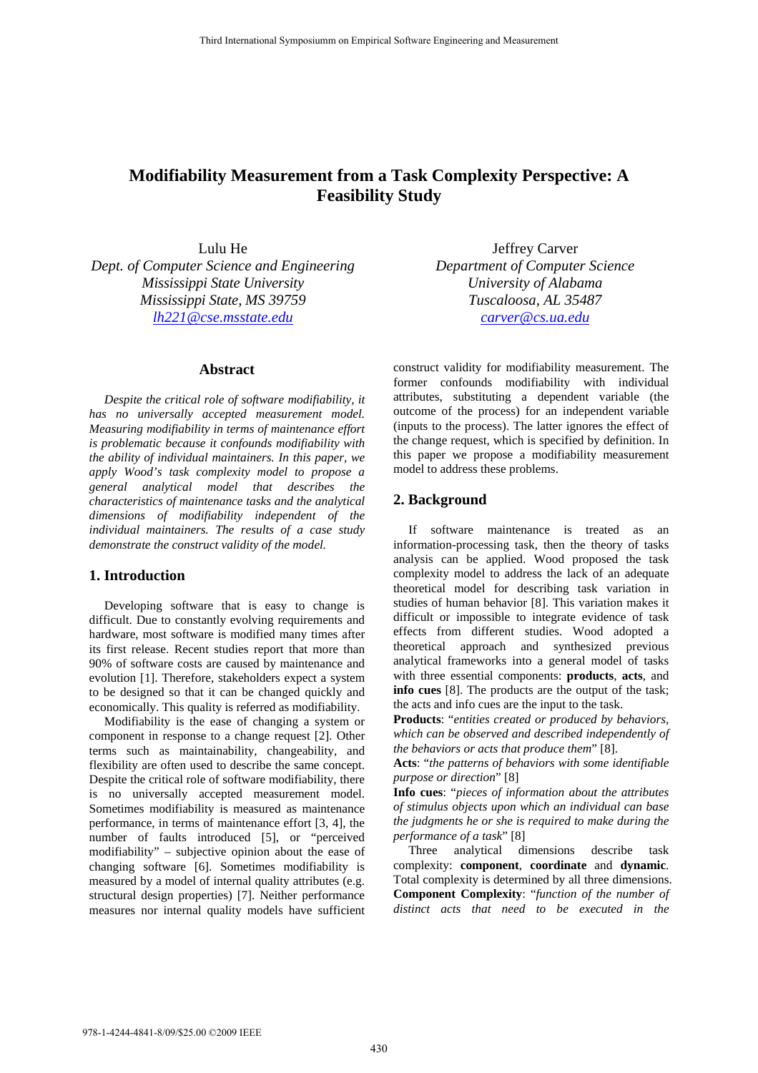# **Modifiability Measurement from a Task Complexity Perspective: A Feasibility Study**

Lulu He

*Dept. of Computer Science and Engineering Mississippi State University Mississippi State, MS 39759 lh221@cse.msstate.edu*

# **Abstract**

*Despite the critical role of software modifiability, it has no universally accepted measurement model. Measuring modifiability in terms of maintenance effort is problematic because it confounds modifiability with the ability of individual maintainers. In this paper, we apply Wood's task complexity model to propose a general analytical model that describes the characteristics of maintenance tasks and the analytical dimensions of modifiability independent of the individual maintainers. The results of a case study demonstrate the construct validity of the model.*

#### **1. Introduction**

Developing software that is easy to change is difficult. Due to constantly evolving requirements and hardware, most software is modified many times after its first release. Recent studies report that more than 90% of software costs are caused by maintenance and evolution [1]. Therefore, stakeholders expect a system to be designed so that it can be changed quickly and economically. This quality is referred as modifiability.

Modifiability is the ease of changing a system or component in response to a change request [2]. Other terms such as maintainability, changeability, and flexibility are often used to describe the same concept. Despite the critical role of software modifiability, there is no universally accepted measurement model. Sometimes modifiability is measured as maintenance performance, in terms of maintenance effort [3, 4], the number of faults introduced [5], or "perceived modifiability" – subjective opinion about the ease of changing software [6]. Sometimes modifiability is measured by a model of internal quality attributes (e.g. structural design properties) [7]. Neither performance measures nor internal quality models have sufficient

Jeffrey Carver *Department of Computer Science University of Alabama Tuscaloosa, AL 35487 carver@cs.ua.edu*

construct validity for modifiability measurement. The former confounds modifiability with individual attributes, substituting a dependent variable (the outcome of the process) for an independent variable (inputs to the process). The latter ignores the effect of the change request, which is specified by definition. In this paper we propose a modifiability measurement model to address these problems.

## **2. Background**

If software maintenance is treated as an information-processing task, then the theory of tasks analysis can be applied. Wood proposed the task complexity model to address the lack of an adequate theoretical model for describing task variation in studies of human behavior [8]. This variation makes it difficult or impossible to integrate evidence of task effects from different studies. Wood adopted a theoretical approach and synthesized previous analytical frameworks into a general model of tasks with three essential components: **products**, **acts**, and **info cues** [8]. The products are the output of the task; the acts and info cues are the input to the task.

**Products**: "*entities created or produced by behaviors, which can be observed and described independently of the behaviors or acts that produce them*" [8].

**Acts**: "*the patterns of behaviors with some identifiable purpose or direction*" [8]

**Info cues**: "*pieces of information about the attributes of stimulus objects upon which an individual can base the judgments he or she is required to make during the performance of a task*" [8]

Three analytical dimensions describe task complexity: **component**, **coordinate** and **dynamic**. Total complexity is determined by all three dimensions. **Component Complexity**: "*function of the number of distinct acts that need to be executed in the*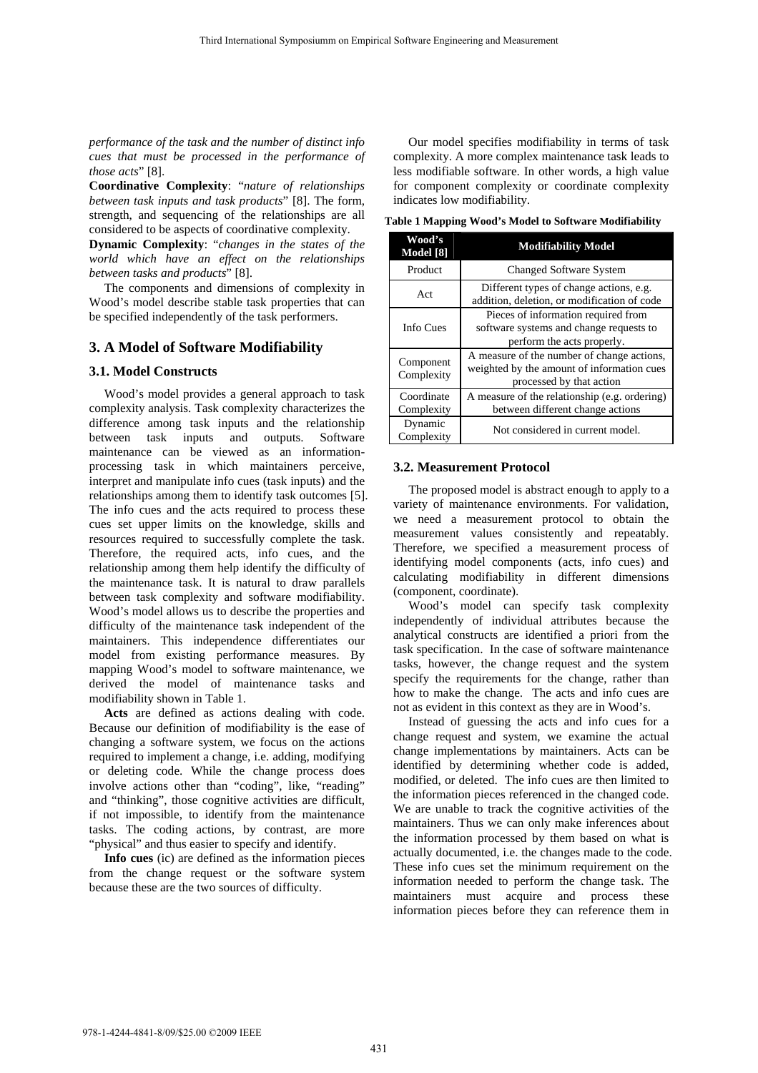*performance of the task and the number of distinct info cues that must be processed in the performance of those acts*" [8].

**Coordinative Complexity**: "*nature of relationships between task inputs and task products*" [8]. The form, strength, and sequencing of the relationships are all considered to be aspects of coordinative complexity.

**Dynamic Complexity**: "*changes in the states of the world which have an effect on the relationships between tasks and products*" [8].

The components and dimensions of complexity in Wood's model describe stable task properties that can be specified independently of the task performers.

# **3. A Model of Software Modifiability**

#### **3.1. Model Constructs**

Wood's model provides a general approach to task complexity analysis. Task complexity characterizes the difference among task inputs and the relationship between task inputs and outputs. Software maintenance can be viewed as an informationprocessing task in which maintainers perceive, interpret and manipulate info cues (task inputs) and the relationships among them to identify task outcomes [5]. The info cues and the acts required to process these cues set upper limits on the knowledge, skills and resources required to successfully complete the task. Therefore, the required acts, info cues, and the relationship among them help identify the difficulty of the maintenance task. It is natural to draw parallels between task complexity and software modifiability. Wood's model allows us to describe the properties and difficulty of the maintenance task independent of the maintainers. This independence differentiates our model from existing performance measures. By mapping Wood's model to software maintenance, we derived the model of maintenance tasks and modifiability shown in Table 1.

**Acts** are defined as actions dealing with code. Because our definition of modifiability is the ease of changing a software system, we focus on the actions required to implement a change, i.e. adding, modifying or deleting code. While the change process does involve actions other than "coding", like, "reading" and "thinking", those cognitive activities are difficult, if not impossible, to identify from the maintenance tasks. The coding actions, by contrast, are more "physical" and thus easier to specify and identify.

**Info cues** (ic) are defined as the information pieces from the change request or the software system because these are the two sources of difficulty.

Our model specifies modifiability in terms of task complexity. A more complex maintenance task leads to less modifiable software. In other words, a high value for component complexity or coordinate complexity indicates low modifiability.

**Table 1 Mapping Wood's Model to Software Modifiability**

| Wood's<br>Model [8]      | <b>Modifiability Model</b>                                                                                           |  |  |  |  |  |
|--------------------------|----------------------------------------------------------------------------------------------------------------------|--|--|--|--|--|
| Product                  | <b>Changed Software System</b>                                                                                       |  |  |  |  |  |
| Act                      | Different types of change actions, e.g.<br>addition, deletion, or modification of code                               |  |  |  |  |  |
| Info Cues                | Pieces of information required from<br>software systems and change requests to<br>perform the acts properly.         |  |  |  |  |  |
| Component<br>Complexity  | A measure of the number of change actions,<br>weighted by the amount of information cues<br>processed by that action |  |  |  |  |  |
| Coordinate<br>Complexity | A measure of the relationship (e.g. ordering)<br>between different change actions                                    |  |  |  |  |  |
| Dynamic<br>Complexity    | Not considered in current model.                                                                                     |  |  |  |  |  |

#### **3.2. Measurement Protocol**

The proposed model is abstract enough to apply to a variety of maintenance environments. For validation, we need a measurement protocol to obtain the measurement values consistently and repeatably. Therefore, we specified a measurement process of identifying model components (acts, info cues) and calculating modifiability in different dimensions (component, coordinate).

Wood's model can specify task complexity independently of individual attributes because the analytical constructs are identified a priori from the task specification. In the case of software maintenance tasks, however, the change request and the system specify the requirements for the change, rather than how to make the change. The acts and info cues are not as evident in this context as they are in Wood's.

Instead of guessing the acts and info cues for a change request and system, we examine the actual change implementations by maintainers. Acts can be identified by determining whether code is added, modified, or deleted. The info cues are then limited to the information pieces referenced in the changed code. We are unable to track the cognitive activities of the maintainers. Thus we can only make inferences about the information processed by them based on what is actually documented, i.e. the changes made to the code. These info cues set the minimum requirement on the information needed to perform the change task. The maintainers must acquire and process these information pieces before they can reference them in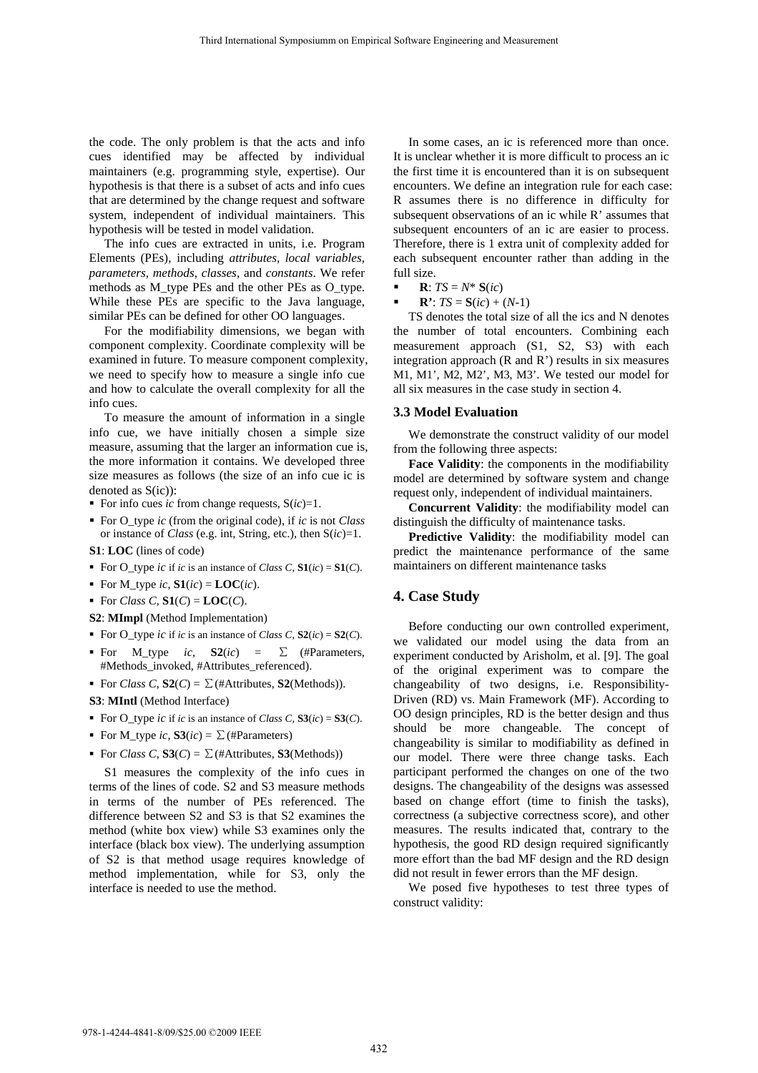the code. The only problem is that the acts and info cues identified may be affected by individual maintainers (e.g. programming style, expertise). Our hypothesis is that there is a subset of acts and info cues that are determined by the change request and software system, independent of individual maintainers. This hypothesis will be tested in model validation.

The info cues are extracted in units, i.e. Program Elements (PEs), including *attributes, local variables, parameters, methods, classes*, and *constants*. We refer methods as M\_type PEs and the other PEs as O\_type. While these PEs are specific to the Java language, similar PEs can be defined for other OO languages.

For the modifiability dimensions, we began with component complexity. Coordinate complexity will be examined in future. To measure component complexity, we need to specify how to measure a single info cue and how to calculate the overall complexity for all the info cues.

To measure the amount of information in a single info cue, we have initially chosen a simple size measure, assuming that the larger an information cue is, the more information it contains. We developed three size measures as follows (the size of an info cue ic is denoted as S(ic)):

- For info cues *ic* from change requests,  $S(ic)=1$ .
- For O\_type *ic* (from the original code), if *ic* is not *Class* or instance of *Class* (e.g. int, String, etc.), then S(*ic*)=1.

**S1**: **LOC** (lines of code)

- For O\_type *ic* if *ic* is an instance of *Class C*,  $\mathbf{S1}(ic) = \mathbf{S1}(C)$ .
- For M\_type *ic*,  $\mathbf{S1}(ic) = \mathbf{LOC}(ic)$ .
- For *Class C*,  $\mathbf{S1}(C) = \mathbf{LOC}(C)$ .

**S2**: **MImpl** (Method Implementation)

- For O\_type *ic* if *ic* is an instance of *Class C*,  $S2$ (*ic*) =  $S2$ (*C*).
- For M\_type *ic*,  $S2(ic) = \sum$  (#Parameters, #Methods\_invoked, #Attributes\_referenced).
- For *Class C*,  $S2(C) = \sum$  (#Attributes,  $S2$ (Methods)).

**S3**: **MIntl** (Method Interface)

- For O\_type *ic* if *ic* is an instance of *Class C*,  $S3(ic) = S3(C)$ .
- For M\_type *ic*,  $S3(ic) = \sum$  (#Parameters)
- For *Class C*,  $S3(C) = \sum$  (#Attributes,  $S3(Methods)$ )

S1 measures the complexity of the info cues in terms of the lines of code. S2 and S3 measure methods in terms of the number of PEs referenced. The difference between S2 and S3 is that S2 examines the method (white box view) while S3 examines only the interface (black box view). The underlying assumption of S2 is that method usage requires knowledge of method implementation, while for S3, only the interface is needed to use the method.

In some cases, an ic is referenced more than once. It is unclear whether it is more difficult to process an ic the first time it is encountered than it is on subsequent encounters. We define an integration rule for each case: R assumes there is no difference in difficulty for subsequent observations of an ic while R' assumes that subsequent encounters of an ic are easier to process. Therefore, there is 1 extra unit of complexity added for each subsequent encounter rather than adding in the full size.

- $\mathbf{R}$ :  $TS = N^*$   $S(ic)$
- **R**':  $TS = S(ic) + (N-1)$

TS denotes the total size of all the ics and N denotes the number of total encounters. Combining each measurement approach (S1, S2, S3) with each integration approach (R and R') results in six measures M1, M1', M2, M2', M3, M3'. We tested our model for all six measures in the case study in section 4.

#### **3.3 Model Evaluation**

We demonstrate the construct validity of our model from the following three aspects:

**Face Validity**: the components in the modifiability model are determined by software system and change request only, independent of individual maintainers.

**Concurrent Validity**: the modifiability model can distinguish the difficulty of maintenance tasks.

**Predictive Validity**: the modifiability model can predict the maintenance performance of the same maintainers on different maintenance tasks

## **4. Case Study**

Before conducting our own controlled experiment, we validated our model using the data from an experiment conducted by Arisholm, et al. [9]. The goal of the original experiment was to compare the changeability of two designs, i.e. Responsibility-Driven (RD) vs. Main Framework (MF). According to OO design principles, RD is the better design and thus should be more changeable. The concept of changeability is similar to modifiability as defined in our model. There were three change tasks. Each participant performed the changes on one of the two designs. The changeability of the designs was assessed based on change effort (time to finish the tasks), correctness (a subjective correctness score), and other measures. The results indicated that, contrary to the hypothesis, the good RD design required significantly more effort than the bad MF design and the RD design did not result in fewer errors than the MF design.

We posed five hypotheses to test three types of construct validity: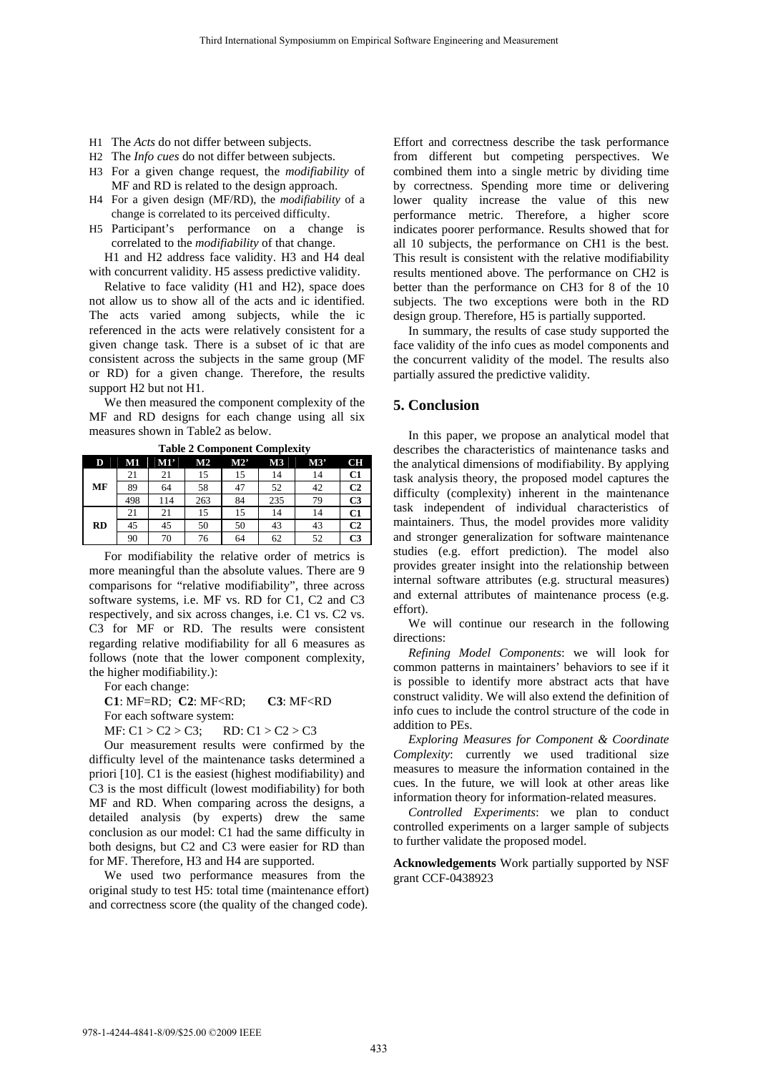- H1 The *Acts* do not differ between subjects.
- H2 The *Info cues* do not differ between subjects.
- H3 For a given change request, the *modifiability* of MF and RD is related to the design approach.
- H4 For a given design (MF/RD), the *modifiability* of a change is correlated to its perceived difficulty.
- H5 Participant's performance on a change is correlated to the *modifiability* of that change.

H1 and H2 address face validity. H3 and H4 deal with concurrent validity. H5 assess predictive validity.

Relative to face validity (H1 and H2), space does not allow us to show all of the acts and ic identified. The acts varied among subjects, while the ic referenced in the acts were relatively consistent for a given change task. There is a subset of ic that are consistent across the subjects in the same group (MF or RD) for a given change. Therefore, the results support H2 but not H1.

We then measured the component complexity of the MF and RD designs for each change using all six measures shown in Table2 as below.

| $1400C \equiv \text{Compoint}$ Component Complexity |     |     |     |     |                |     |                |  |  |
|-----------------------------------------------------|-----|-----|-----|-----|----------------|-----|----------------|--|--|
| D                                                   | M1  | M1' | M2  | M2' | M <sub>3</sub> | M3' | CН             |  |  |
|                                                     | 21  | 21  | 15  | 15  | 14             | 14  | C <sub>1</sub> |  |  |
| MF                                                  | 89  | 64  | 58  | 47  | 52             | 42  | C <sub>2</sub> |  |  |
|                                                     | 498 | 114 | 263 | 84  | 235            | 79  | C <sub>3</sub> |  |  |
| <b>RD</b>                                           | 21  | 21  | 15  | 15  | 14             | 14  | C1             |  |  |
|                                                     | 45  | 45  | 50  | 50  | 43             | 43  | C <sub>2</sub> |  |  |
|                                                     | 90  | 70  | 76  | 64  | 62             | 52  | C <sub>3</sub> |  |  |

**Table 2 Component Complexity**

For modifiability the relative order of metrics is more meaningful than the absolute values. There are 9 comparisons for "relative modifiability", three across software systems, i.e. MF vs. RD for C1, C2 and C3 respectively, and six across changes, i.e. C1 vs. C2 vs. C3 for MF or RD. The results were consistent regarding relative modifiability for all 6 measures as follows (note that the lower component complexity, the higher modifiability.):

For each change:

**C1**: MF=RD; **C2**: MF<RD; **C3**: MF<RD

For each software system:

MF:  $C1 > C2 > C3$ ; RD:  $C1 > C2 > C3$ 

Our measurement results were confirmed by the difficulty level of the maintenance tasks determined a priori [10]. C1 is the easiest (highest modifiability) and C3 is the most difficult (lowest modifiability) for both MF and RD. When comparing across the designs, a detailed analysis (by experts) drew the same conclusion as our model: C1 had the same difficulty in both designs, but C2 and C3 were easier for RD than for MF. Therefore, H3 and H4 are supported.

We used two performance measures from the original study to test H5: total time (maintenance effort) and correctness score (the quality of the changed code).

Effort and correctness describe the task performance from different but competing perspectives. We combined them into a single metric by dividing time by correctness. Spending more time or delivering lower quality increase the value of this new performance metric. Therefore, a higher score indicates poorer performance. Results showed that for all 10 subjects, the performance on CH1 is the best. This result is consistent with the relative modifiability results mentioned above. The performance on CH2 is better than the performance on CH3 for 8 of the 10 subjects. The two exceptions were both in the RD design group. Therefore, H5 is partially supported.

In summary, the results of case study supported the face validity of the info cues as model components and the concurrent validity of the model. The results also partially assured the predictive validity.

## **5. Conclusion**

In this paper, we propose an analytical model that describes the characteristics of maintenance tasks and the analytical dimensions of modifiability. By applying task analysis theory, the proposed model captures the difficulty (complexity) inherent in the maintenance task independent of individual characteristics of maintainers. Thus, the model provides more validity and stronger generalization for software maintenance studies (e.g. effort prediction). The model also provides greater insight into the relationship between internal software attributes (e.g. structural measures) and external attributes of maintenance process (e.g. effort).

We will continue our research in the following directions:

*Refining Model Components*: we will look for common patterns in maintainers' behaviors to see if it is possible to identify more abstract acts that have construct validity. We will also extend the definition of info cues to include the control structure of the code in addition to PEs.

*Exploring Measures for Component & Coordinate Complexity*: currently we used traditional size measures to measure the information contained in the cues. In the future, we will look at other areas like information theory for information-related measures.

*Controlled Experiments*: we plan to conduct controlled experiments on a larger sample of subjects to further validate the proposed model.

**Acknowledgements** Work partially supported by NSF grant CCF-0438923